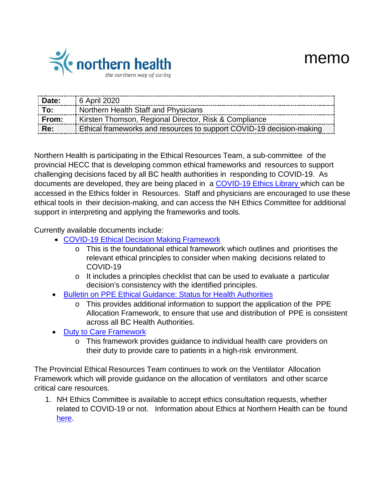

| Date:          | 6 April 2020                                                         |
|----------------|----------------------------------------------------------------------|
| $\mathsf{Toc}$ | Northern Health Staff and Physicians                                 |
| From:          | Kirsten Thomson, Regional Director, Risk & Compliance                |
| Re:            | Ethical frameworks and resources to support COVID-19 decision-making |

Northern Health is participating in the Ethical Resources Team, a sub-committee of the provincial HECC that is developing common ethical frameworks and resources to support challenging decisions faced by all BC health authorities in responding to COVID-19. As documents are developed, they are being placed in a [COVID-19](https://ournh.northernhealth.ca/AboutNH/Emergency/Coronavirus/Pages/default.aspx) Ethics Library which can be accessed in the Ethics folder in Resources. Staff and physicians are encouraged to use these ethical tools in their decision-making, and can access the NH Ethics Committee for additional support in interpreting and applying the frameworks and tools.

Currently available documents include:

- COVID-19 [Ethical Decision](https://ournh.northernhealth.ca/oursites/communications/OurNH%20Communications%20Documents/ethics-framework-for-covid-19.pdf) Making Framework
	- o This is the foundational ethical framework which outlines and prioritises the relevant ethical principles to consider when making decisions related to COVID-19
	- o It includes a principles checklist that can be used to evaluate a particular decision's consistency with the identified principles.
- [Bulletin on PPE](https://ournh.northernhealth.ca/oursites/communications/OurNH%20Communications%20Documents/personal-protection-equipment-supply.pdf) Ethical Guidance: Status for Health Authorities
	- o This provides additional information to support the application of the PPE Allocation Framework, to ensure that use and distribution of PPE is consistent across all BC Health Authorities.
- Duty to Care [Framework](https://ournh.northernhealth.ca/oursites/communications/OurNH%20Communications%20Documents/duty-to-care-during-covid-19.pdf)
	- o This framework provides guidance to individual health care providers on their duty to provide care to patients in a high-risk environment.

The Provincial Ethical Resources Team continues to work on the Ventilator Allocation Framework which will provide guidance on the allocation of ventilators and other scarce critical care resources.

1. NH Ethics Committee is available to accept ethics consultation requests, whether related to COVID-19 or not. Information about Ethics at Northern Health can be found [here.](https://www.northernhealth.ca/about-us/accountability/ethical-choices?keys=ethics)